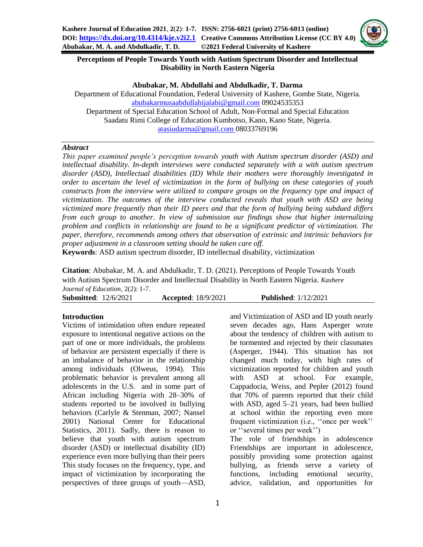

# **Perceptions of People Towards Youth with Autism Spectrum Disorder and Intellectual Disability in North Eastern Nigeria**

**Abubakar, M. Abdullahi and Abdulkadir, T. Darma**

Department of Educational Foundation, Federal University of Kashere, Gombe State, Nigeria. [abubakarmusaabdullahijalabi@gmail.com](mailto:abubakarmusaabdullahijalabi@gmail.com) 09024535353 Department of Special Education School of Adult, Non-Formal and Special Education Saadatu Rimi College of Education Kumbotso, Kano, Kano State, Nigeria. [atasiudarma@gmail.com](mailto:atasiudarma@gmail.com) 08033769196

#### *Abstract*

*This paper examined people's perception towards youth with Autism spectrum disorder (ASD) and intellectual disability. In-depth interviews were conducted separately with a with autism spectrum disorder (ASD), Intellectual disabilities (ID) While their mothers were thoroughly investigated in order to ascertain the level of victimization in the form of bullying on these categories of youth constructs from the interview were utilized to compare groups on the frequency type and impact of victimization. The outcomes of the interview conducted reveals that youth with ASD are being victimized more frequently than their ID peers and that the form of bullying being subdued differs from each group to another. In view of submission our findings show that higher internalizing problem and conflicts in relationship are found to be a significant predictor of victimization. The paper, therefore, recommends among others that observation of extrinsic and intrinsic behaviors for proper adjustment in a classroom setting should be taken care off.*

**Keywords**: ASD autism spectrum disorder, ID intellectual disability, victimization

**Citation**: Abubakar, M. A. and Abdulkadir, T. D. (2021). Perceptions of People Towards Youth with Autism Spectrum Disorder and Intellectual Disability in North Eastern Nigeria*. Kashere Journal of Education*, 2(2): 1-7.

| <b>Submitted:</b> 12/6/2021 |  | <b>Accepted:</b> 18/9/2021 | <b>Published:</b> 1/12/2021 |
|-----------------------------|--|----------------------------|-----------------------------|
|-----------------------------|--|----------------------------|-----------------------------|

## **Introduction**

Victims of intimidation often endure repeated exposure to intentional negative actions on the part of one or more individuals, the problems of behavior are persistent especially if there is an imbalance of behavior in the relationship among individuals (Olweus, 1994). This problematic behavior is prevalent among all adolescents in the U.S. and in some part of African including Nigeria with 28–30% of students reported to be involved in bullying behaviors (Carlyle & Stenman, 2007; Nansel 2001) National Center for Educational Statistics, 2011). Sadly, there is reason to believe that youth with autism spectrum disorder (ASD) or intellectual disability (ID) experience even more bullying than their peers This study focuses on the frequency, type, and impact of victimization by incorporating the perspectives of three groups of youth—ASD, and Victimization of ASD and ID youth nearly seven decades ago, Hans Asperger wrote about the tendency of children with autism to be tormented and rejected by their classmates (Asperger, 1944). This situation has not changed much today, with high rates of victimization reported for children and youth with ASD at school. For example, Cappadocia, Weiss, and Pepler (2012) found that 70% of parents reported that their child with ASD, aged 5–21 years, had been bullied at school within the reporting even more frequent victimization (i.e., ''once per week'' or ''several times per week'')

The role of friendships in adolescence Friendships are important in adolescence, possibly providing some protection against bullying, as friends serve a variety of functions, including emotional security, advice, validation, and opportunities for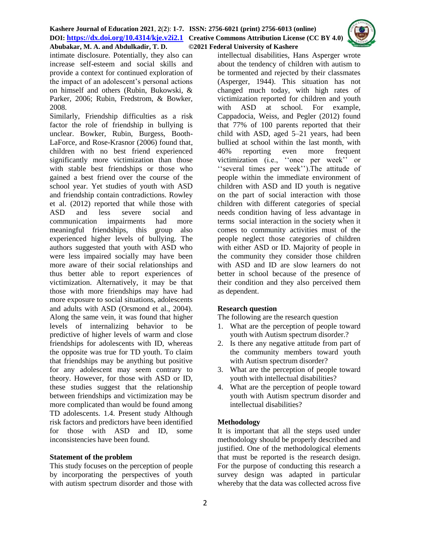#### **Kashere Journal of Education 2021**, **2**(**2**): **1-7. ISSN: 2756-6021 (print) 2756-6013 (online) DOI: <https://dx.doi.org/10.4314/kje.v2i2.1> [Creative Commons Attribution License](http://creativecommons.org/licenses/by/4.0/) (CC BY 4.0) Abubakar, M. A. and Abdulkadir, T. D. ©2021 Federal University of Kashere**



intimate disclosure. Potentially, they also can increase self-esteem and social skills and provide a context for continued exploration of the impact of an adolescent's personal actions on himself and others (Rubin, Bukowski, & Parker, 2006; Rubin, Fredstrom, & Bowker, 2008.

Similarly, Friendship difficulties as a risk factor the role of friendship in bullying is unclear. Bowker, Rubin, Burgess, Booth-LaForce, and Rose-Krasnor (2006) found that, children with no best friend experienced significantly more victimization than those with stable best friendships or those who gained a best friend over the course of the school year. Yet studies of youth with ASD and friendship contain contradictions. Rowley et al. (2012) reported that while those with ASD and less severe social and communication impairments had more meaningful friendships, this group also experienced higher levels of bullying. The authors suggested that youth with ASD who were less impaired socially may have been more aware of their social relationships and thus better able to report experiences of victimization. Alternatively, it may be that those with more friendships may have had more exposure to social situations, adolescents and adults with ASD (Orsmond et al., 2004). Along the same vein, it was found that higher levels of internalizing behavior to be predictive of higher levels of warm and close friendships for adolescents with ID, whereas the opposite was true for TD youth. To claim that friendships may be anything but positive for any adolescent may seem contrary to theory. However, for those with ASD or ID, these studies suggest that the relationship between friendships and victimization may be more complicated than would be found among TD adolescents. 1.4. Present study Although risk factors and predictors have been identified for those with ASD and ID, some inconsistencies have been found.

#### **Statement of the problem**

This study focuses on the perception of people by incorporating the perspectives of youth with autism spectrum disorder and those with intellectual disabilities, Hans Asperger wrote about the tendency of children with autism to be tormented and rejected by their classmates (Asperger, 1944). This situation has not changed much today, with high rates of victimization reported for children and youth with ASD at school. For example, Cappadocia, Weiss, and Pegler (2012) found that 77% of 100 parents reported that their child with ASD, aged 5–21 years, had been bullied at school within the last month, with 46% reporting even more frequent victimization (i.e., ''once per week'' or ''several times per week'').The attitude of people within the immediate environment of children with ASD and ID youth is negative on the part of social interaction with those children with different categories of special needs condition having of less advantage in terms social interaction in the society when it comes to community activities must of the people neglect those categories of children with either ASD or ID. Majority of people in the community they consider those children with ASD and ID are slow learners do not better in school because of the presence of their condition and they also perceived them as dependent.

## **Research question**

The following are the research question

- 1. What are the perception of people toward youth with Autism spectrum disorder.?
- 2. Is there any negative attitude from part of the community members toward youth with Autism spectrum disorder?
- 3. What are the perception of people toward youth with intellectual disabilities?
- 4. What are the perception of people toward youth with Autism spectrum disorder and intellectual disabilities?

#### **Methodology**

It is important that all the steps used under methodology should be properly described and justified. One of the methodological elements that must be reported is the research design. For the purpose of conducting this research a survey design was adapted in particular whereby that the data was collected across five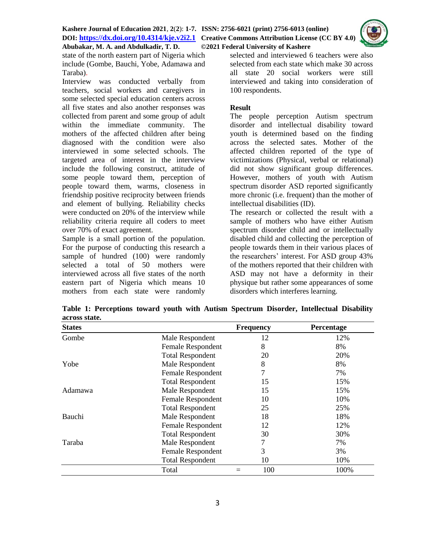

state of the north eastern part of Nigeria which include (Gombe, Bauchi, Yobe, Adamawa and Taraba).

Interview was conducted verbally from teachers, social workers and caregivers in some selected special education centers across all five states and also another responses was collected from parent and some group of adult within the immediate community. The mothers of the affected children after being diagnosed with the condition were also interviewed in some selected schools. The targeted area of interest in the interview include the following construct, attitude of some people toward them, perception of people toward them, warms, closeness in friendship positive reciprocity between friends and element of bullying. Reliability checks were conducted on 20% of the interview while reliability criteria require all coders to meet over 70% of exact agreement.

Sample is a small portion of the population. For the purpose of conducting this research a sample of hundred (100) were randomly selected a total of 50 mothers were interviewed across all five states of the north eastern part of Nigeria which means 10 mothers from each state were randomly selected and interviewed 6 teachers were also selected from each state which make 30 across all state 20 social workers were still interviewed and taking into consideration of 100 respondents.

# **Result**

The people perception Autism spectrum disorder and intellectual disability toward youth is determined based on the finding across the selected sates. Mother of the affected children reported of the type of victimizations (Physical, verbal or relational) did not show significant group differences. However, mothers of youth with Autism spectrum disorder ASD reported significantly more chronic (i.e. frequent) than the mother of intellectual disabilities (ID).

The research or collected the result with a sample of mothers who have either Autism spectrum disorder child and or intellectually disabled child and collecting the perception of people towards them in their various places of the researchers' interest. For ASD group 43% of the mothers reported that their children with ASD may not have a deformity in their physique but rather some appearances of some disorders which interferes learning.

| <b>States</b> |                         | <b>Frequency</b> | Percentage |
|---------------|-------------------------|------------------|------------|
| Gombe         | Male Respondent         | 12               | 12%        |
|               | Female Respondent       | 8                | 8%         |
|               | <b>Total Respondent</b> | 20               | 20%        |
| Yobe          | Male Respondent         | 8                | 8%         |
|               | Female Respondent       | 7                | 7%         |
|               | <b>Total Respondent</b> | 15               | 15%        |
| Adamawa       | Male Respondent         | 15               | 15%        |
|               | Female Respondent       | 10               | 10%        |
|               | <b>Total Respondent</b> | 25               | 25%        |
| Bauchi        | Male Respondent         | 18               | 18%        |
|               | Female Respondent       | 12               | 12%        |
|               | <b>Total Respondent</b> | 30               | 30%        |
| Taraba        | Male Respondent         | 7                | 7%         |
|               | Female Respondent       | 3                | 3%         |
|               | <b>Total Respondent</b> | 10               | 10%        |
|               | Total                   | 100<br>$=$       | 100%       |

**Table 1: Perceptions toward youth with Autism Spectrum Disorder, Intellectual Disability across state.**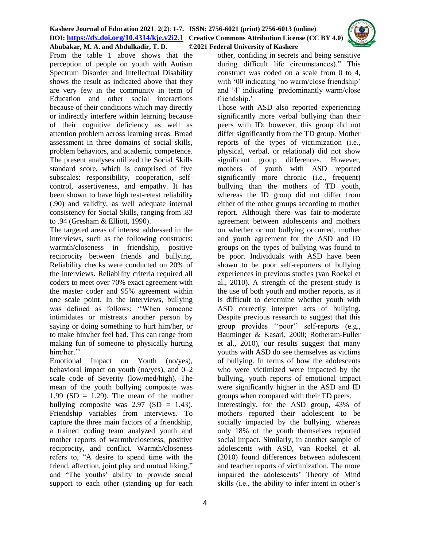#### **Kashere Journal of Education 2021**, **2**(**2**): **1-7. ISSN: 2756-6021 (print) 2756-6013 (online) DOI: <https://dx.doi.org/10.4314/kje.v2i2.1> [Creative Commons Attribution License](http://creativecommons.org/licenses/by/4.0/) (CC BY 4.0) Abubakar, M. A. and Abdulkadir, T. D. ©2021 Federal University of Kashere**



From the table 1 above shows that the perception of people on youth with Autism Spectrum Disorder and Intellectual Disability shows the result as indicated above that they are very few in the community in term of Education and other social interactions because of their conditions which may directly or indirectly interfere within learning because of their cognitive deficiency as well as attention problem across learning areas. Broad assessment in three domains of social skills, problem behaviors, and academic competence. The present analyses utilized the Social Skills standard score, which is comprised of five subscales: responsibility, cooperation, selfcontrol, assertiveness, and empathy. It has been shown to have high test-retest reliability (.90) and validity, as well adequate internal consistency for Social Skills, ranging from .83 to .94 (Gresham & Elliott, 1990).

The targeted areas of interest addressed in the interviews, such as the following constructs: warmth/closeness in friendship, positive reciprocity between friends and bullying. Reliability checks were conducted on 20% of the interviews. Reliability criteria required all coders to meet over 70% exact agreement with the master coder and 95% agreement within one scale point. In the interviews, bullying was defined as follows: ''When someone intimidates or mistreats another person by saying or doing something to hurt him/her, or to make him/her feel bad. This can range from making fun of someone to physically hurting him/her."

Emotional Impact on Youth (no/yes), behavioral impact on youth (no/yes), and 0–2 scale code of Severity (low/med/high). The mean of the youth bullying composite was 1.99 ( $SD = 1.29$ ). The mean of the mother bullying composite was  $2.97$  (SD = 1.43). Friendship variables from interviews. To capture the three main factors of a friendship, a trained coding team analyzed youth and mother reports of warmth/closeness, positive reciprocity, and conflict. Warmth/closeness refers to, "A desire to spend time with the friend, affection, joint play and mutual liking," and "The youths' ability to provide social support to each other (standing up for each

other, confiding in secrets and being sensitive during difficult life circumstances)." This construct was coded on a scale from 0 to 4, with '00 indicating 'no warm/close friendship' and '4' indicating 'predominantly warm/close friendship.'

Those with ASD also reported experiencing significantly more verbal bullying than their peers with ID; however, this group did not differ significantly from the TD group. Mother reports of the types of victimization (i.e., physical, verbal, or relational) did not show significant group differences. However, mothers of youth with ASD reported significantly more chronic (i.e., frequent) bullying than the mothers of TD youth, whereas the ID group did not differ from either of the other groups according to mother report. Although there was fair-to-moderate agreement between adolescents and mothers on whether or not bullying occurred, mother and youth agreement for the ASD and ID groups on the types of bullying was found to be poor. Individuals with ASD have been shown to be poor self-reporters of bullying experiences in previous studies (van Roekel et al., 2010). A strength of the present study is the use of both youth and mother reports, as it is difficult to determine whether youth with ASD correctly interpret acts of bullying. Despite previous research to suggest that this group provides ''poor'' self-reports (e.g., Bauminger & Kasari, 2000; Rotheram-Fuller et al., 2010), our results suggest that many youths with ASD do see themselves as victims of bullying. In terms of how the adolescents who were victimized were impacted by the bullying, youth reports of emotional impact were significantly higher in the ASD and ID groups when compared with their TD peers. Interestingly, for the ASD group, 43% of mothers reported their adolescent to be socially impacted by the bullying, whereas only 18% of the youth themselves reported social impact. Similarly, in another sample of adolescents with ASD, van Roekel et al. (2010) found differences between adolescent and teacher reports of victimization. The more impaired the adolescents' Theory of Mind skills (i.e., the ability to infer intent in other's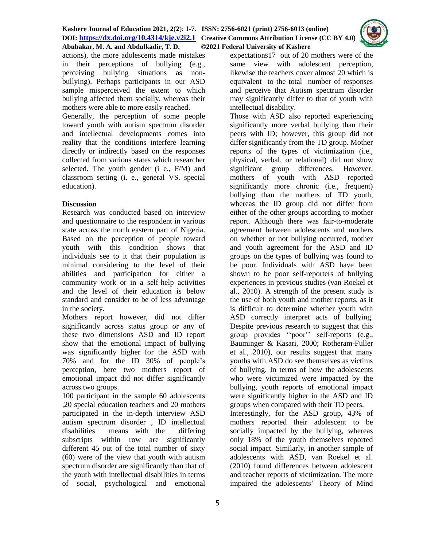

actions), the more adolescents made mistakes in their perceptions of bullying (e.g., perceiving bullying situations as nonbullying). Perhaps participants in our ASD sample misperceived the extent to which bullying affected them socially, whereas their mothers were able to more easily reached.

Generally, the perception of some people toward youth with autism spectrum disorder and intellectual developments comes into reality that the conditions interfere learning directly or indirectly based on the responses collected from various states which researcher selected. The youth gender (i e., F/M) and classroom setting (i. e., general VS. special education).

# **Discussion**

Research was conducted based on interview and questionnaire to the respondent in various state across the north eastern part of Nigeria. Based on the perception of people toward youth with this condition shows that individuals see to it that their population is minimal considering to the level of their abilities and participation for either a community work or in a self-help activities and the level of their education is below standard and consider to be of less advantage in the society.

Mothers report however, did not differ significantly across status group or any of these two dimensions ASD and ID report show that the emotional impact of bullying was significantly higher for the ASD with 70% and for the ID 30% of people's perception, here two mothers report of emotional impact did not differ significantly across two groups.

100 participant in the sample 60 adolescents ,20 special education teachers and 20 mothers participated in the in-depth interview ASD autism spectrum disorder , ID intellectual disabilities means with the differing subscripts within row are significantly different 45 out of the total number of sixty (60) were of the view that youth with autism spectrum disorder are significantly than that of the youth with intellectual disabilities in terms of social, psychological and emotional expectations17 out of 20 mothers were of the same view with adolescent perception, likewise the teachers cover almost 20 which is equivalent to the total number of responses and perceive that Autism spectrum disorder may significantly differ to that of youth with intellectual disability.

Those with ASD also reported experiencing significantly more verbal bullying than their peers with ID; however, this group did not differ significantly from the TD group. Mother reports of the types of victimization (i.e., physical, verbal, or relational) did not show significant group differences. However, mothers of youth with ASD reported significantly more chronic (i.e., frequent) bullying than the mothers of TD youth, whereas the ID group did not differ from either of the other groups according to mother report. Although there was fair-to-moderate agreement between adolescents and mothers on whether or not bullying occurred, mother and youth agreement for the ASD and ID groups on the types of bullying was found to be poor. Individuals with ASD have been shown to be poor self-reporters of bullying experiences in previous studies (van Roekel et al., 2010). A strength of the present study is the use of both youth and mother reports, as it is difficult to determine whether youth with ASD correctly interpret acts of bullying. Despite previous research to suggest that this group provides ''poor'' self-reports (e.g., Bauminger & Kasari, 2000; Rotheram-Fuller et al., 2010), our results suggest that many youths with ASD do see themselves as victims of bullying. In terms of how the adolescents who were victimized were impacted by the bullying, youth reports of emotional impact were significantly higher in the ASD and ID groups when compared with their TD peers. Interestingly, for the ASD group, 43% of mothers reported their adolescent to be socially impacted by the bullying, whereas

only 18% of the youth themselves reported social impact. Similarly, in another sample of adolescents with ASD, van Roekel et al. (2010) found differences between adolescent and teacher reports of victimization. The more impaired the adolescents' Theory of Mind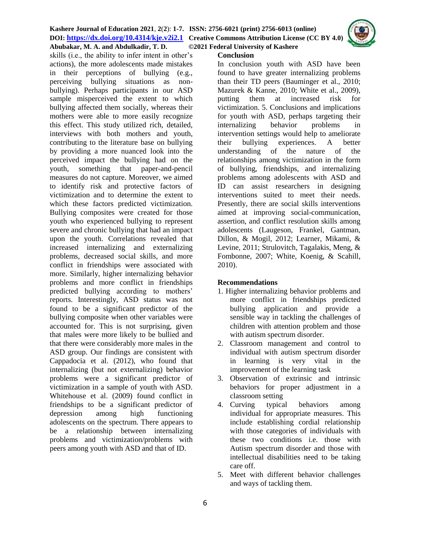# **Kashere Journal of Education 2021**, **2**(**2**): **1-7. ISSN: 2756-6021 (print) 2756-6013 (online) DOI: <https://dx.doi.org/10.4314/kje.v2i2.1> [Creative Commons Attribution License](http://creativecommons.org/licenses/by/4.0/) (CC BY 4.0)**

**Abubakar, M. A. and Abdulkadir, T. D. ©2021 Federal University of Kashere** skills (i.e., the ability to infer intent in other's

actions), the more adolescents made mistakes in their perceptions of bullying (e.g., perceiving bullying situations as nonbullying). Perhaps participants in our ASD sample misperceived the extent to which bullying affected them socially, whereas their mothers were able to more easily recognize this effect. This study utilized rich, detailed, interviews with both mothers and youth, contributing to the literature base on bullying by providing a more nuanced look into the perceived impact the bullying had on the youth, something that paper-and-pencil measures do not capture. Moreover, we aimed to identify risk and protective factors of victimization and to determine the extent to which these factors predicted victimization. Bullying composites were created for those youth who experienced bullying to represent severe and chronic bullying that had an impact upon the youth. Correlations revealed that increased internalizing and externalizing problems, decreased social skills, and more conflict in friendships were associated with more. Similarly, higher internalizing behavior problems and more conflict in friendships predicted bullying according to mothers' reports. Interestingly, ASD status was not found to be a significant predictor of the bullying composite when other variables were accounted for. This is not surprising, given that males were more likely to be bullied and that there were considerably more males in the ASD group. Our findings are consistent with Cappadocia et al. (2012), who found that internalizing (but not externalizing) behavior problems were a significant predictor of victimization in a sample of youth with ASD. Whitehouse et al. (2009) found conflict in friendships to be a significant predictor of depression among high functioning adolescents on the spectrum. There appears to be a relationship between internalizing problems and victimization/problems with peers among youth with ASD and that of ID.

#### **Conclusion**

In conclusion youth with ASD have been found to have greater internalizing problems than their TD peers (Bauminger et al., 2010; Mazurek & Kanne, 2010; White et al., 2009), putting them at increased risk for victimization. 5. Conclusions and implications for youth with ASD, perhaps targeting their internalizing behavior problems in intervention settings would help to ameliorate their bullying experiences. A better understanding of the nature of the relationships among victimization in the form of bullying, friendships, and internalizing problems among adolescents with ASD and ID can assist researchers in designing interventions suited to meet their needs. Presently, there are social skills interventions aimed at improving social-communication, assertion, and conflict resolution skills among adolescents (Laugeson, Frankel, Gantman, Dillon, & Mogil, 2012; Learner, Mikami, & Levine, 2011; Strulovitch, Tagalakis, Meng, & Fombonne, 2007; White, Koenig, & Scahill, 2010).

## **Recommendations**

- 1. Higher internalizing behavior problems and more conflict in friendships predicted bullying application and provide a sensible way in tackling the challenges of children with attention problem and those with autism spectrum disorder.
- 2. Classroom management and control to individual with autism spectrum disorder in learning is very vital in the improvement of the learning task
- 3. Observation of extrinsic and intrinsic behaviors for proper adjustment in a classroom setting
- 4. Curving typical behaviors among individual for appropriate measures. This include establishing cordial relationship with those categories of individuals with these two conditions i.e. those with Autism spectrum disorder and those with intellectual disabilities need to be taking care off.
- 5. Meet with different behavior challenges and ways of tackling them.